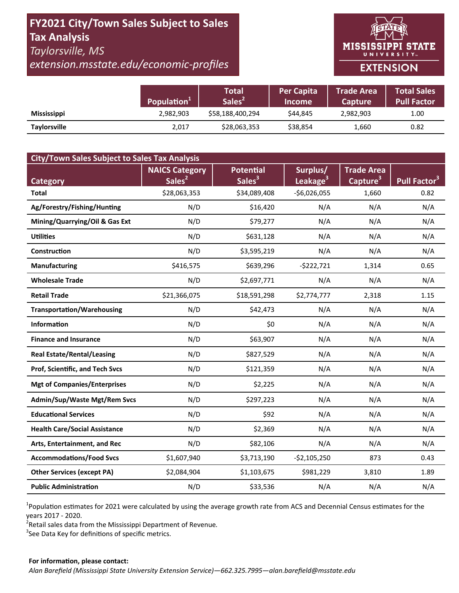# **FY2021 City/Town Sales Subject to Sales Tax Analysis**  *Taylorsville, MS*

*extension.msstate.edu/economic‐profiles* 



|                     | Population <sup>1</sup> | Total<br>Sales <sup>2</sup> | <b>Per Capita</b><br><b>Income</b> | <b>Trade Area</b><br><b>Capture</b> | <b>Total Sales</b><br>Pull Factor |
|---------------------|-------------------------|-----------------------------|------------------------------------|-------------------------------------|-----------------------------------|
| <b>Mississippi</b>  | 2,982,903               | \$58,188,400,294            | \$44.845                           | 2,982,903                           | 1.00                              |
| <b>Taylorsville</b> | 2,017                   | \$28,063,353                | \$38,854                           | 1,660                               | 0.82                              |

| <b>City/Town Sales Subject to Sales Tax Analysis</b> |                       |                    |                      |                      |                          |  |  |  |
|------------------------------------------------------|-----------------------|--------------------|----------------------|----------------------|--------------------------|--|--|--|
|                                                      | <b>NAICS Category</b> | <b>Potential</b>   | Surplus/             | <b>Trade Area</b>    |                          |  |  |  |
| <b>Category</b>                                      | Sales <sup>2</sup>    | Sales <sup>3</sup> | Leakage <sup>3</sup> | Capture <sup>3</sup> | Pull Factor <sup>3</sup> |  |  |  |
| <b>Total</b>                                         | \$28,063,353          | \$34,089,408       | $-$6,026,055$        | 1,660                | 0.82                     |  |  |  |
| Ag/Forestry/Fishing/Hunting                          | N/D                   | \$16,420           | N/A                  | N/A                  | N/A                      |  |  |  |
| Mining/Quarrying/Oil & Gas Ext                       | N/D                   | \$79,277           | N/A                  | N/A                  | N/A                      |  |  |  |
| <b>Utilities</b>                                     | N/D                   | \$631,128          | N/A                  | N/A                  | N/A                      |  |  |  |
| Construction                                         | N/D                   | \$3,595,219        | N/A                  | N/A                  | N/A                      |  |  |  |
| <b>Manufacturing</b>                                 | \$416,575             | \$639,296          | $-5222,721$          | 1,314                | 0.65                     |  |  |  |
| <b>Wholesale Trade</b>                               | N/D                   | \$2,697,771        | N/A                  | N/A                  | N/A                      |  |  |  |
| <b>Retail Trade</b>                                  | \$21,366,075          | \$18,591,298       | \$2,774,777          | 2,318                | 1.15                     |  |  |  |
| <b>Transportation/Warehousing</b>                    | N/D                   | \$42,473           | N/A                  | N/A                  | N/A                      |  |  |  |
| <b>Information</b>                                   | N/D                   | \$0                | N/A                  | N/A                  | N/A                      |  |  |  |
| <b>Finance and Insurance</b>                         | N/D                   | \$63,907           | N/A                  | N/A                  | N/A                      |  |  |  |
| <b>Real Estate/Rental/Leasing</b>                    | N/D                   | \$827,529          | N/A                  | N/A                  | N/A                      |  |  |  |
| Prof, Scientific, and Tech Svcs                      | N/D                   | \$121,359          | N/A                  | N/A                  | N/A                      |  |  |  |
| <b>Mgt of Companies/Enterprises</b>                  | N/D                   | \$2,225            | N/A                  | N/A                  | N/A                      |  |  |  |
| <b>Admin/Sup/Waste Mgt/Rem Svcs</b>                  | N/D                   | \$297,223          | N/A                  | N/A                  | N/A                      |  |  |  |
| <b>Educational Services</b>                          | N/D                   | \$92               | N/A                  | N/A                  | N/A                      |  |  |  |
| <b>Health Care/Social Assistance</b>                 | N/D                   | \$2,369            | N/A                  | N/A                  | N/A                      |  |  |  |
| Arts, Entertainment, and Rec                         | N/D                   | \$82,106           | N/A                  | N/A                  | N/A                      |  |  |  |
| <b>Accommodations/Food Svcs</b>                      | \$1,607,940           | \$3,713,190        | $-$2,105,250$        | 873                  | 0.43                     |  |  |  |
| <b>Other Services (except PA)</b>                    | \$2,084,904           | \$1,103,675        | \$981,229            | 3,810                | 1.89                     |  |  |  |
| <b>Public Administration</b>                         | N/D                   | \$33,536           | N/A                  | N/A                  | N/A                      |  |  |  |

<sup>1</sup>Population estimates for 2021 were calculated by using the average growth rate from ACS and Decennial Census estimates for the years 2017 ‐ 2020.

2 Retail sales data from the Mississippi Department of Revenue*.* 

 $3$ See Data Key for definitions of specific metrics.

#### **For informaƟon, please contact:**  *Alan Barefield (Mississippi State University Extension Service)—662.325.7995—alan.barefield@msstate.edu*